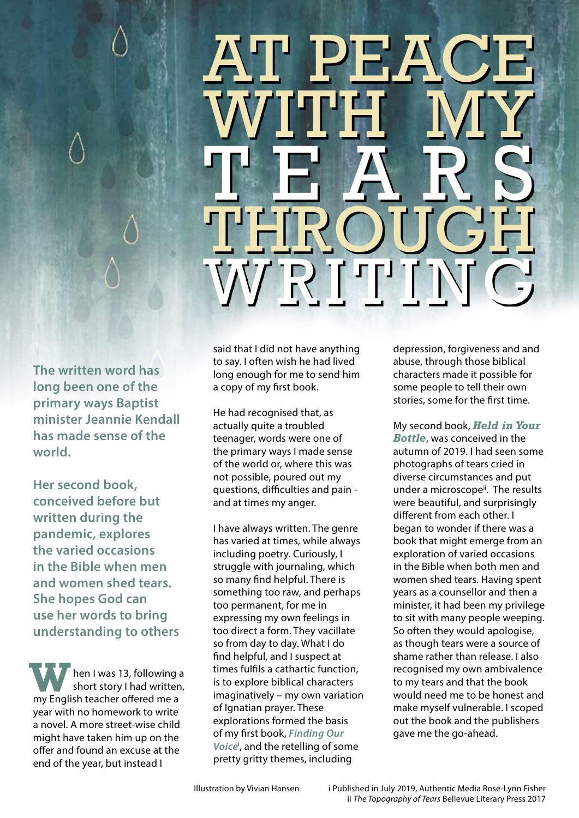## THROUGH AT PEACE WITH MY TEARS WRITING

**The written word has long been one of the primary ways Baptist minister Jeannie Kendall has made sense of the world.** 

**Her second book, conceived before but written during the pandemic, explores the varied occasions in the Bible when men and women shed tears. She hopes God can use her words to bring understanding to others**

hen I was 13, following a short story I had written, **W** hen I was 13, following a short story I had written my English teacher offered me a year with no homework to write a novel. A more street-wise child might have taken him up on the offer and found an excuse at the end of the year, but instead I

said that I did not have anything to say. I often wish he had lived long enough for me to send him a copy of my first book.

He had recognised that, as actually quite a troubled teenager, words were one of the primary ways I made sense of the world or, where this was not possible, poured out my questions, difficulties and pain and at times my anger.

I have always written. The genre has varied at times, while always including poetry. Curiously, I struggle with journaling, which so many find helpful. There is something too raw, and perhaps too permanent, for me in expressing my own feelings in too direct a form. They vacillate so from day to day. What I do find helpful, and I suspect at times fulfils a cathartic function, is to explore biblical characters imaginatively – my own variation of Ignatian prayer. These explorations formed the basis of my first book, *Finding Our Voice*<sup>i</sup> , and the retelling of some pretty gritty themes, including

depression, forgiveness and and abuse, through those biblical characters made it possible for some people to tell their own stories, some for the first time.

My second book, *Held in Your Bottle*, was conceived in the autumn of 2019. I had seen some photographs of tears cried in diverse circumstances and put under a microscope<sup>ii</sup>. The results were beautiful, and surprisingly different from each other. I began to wonder if there was a book that might emerge from an exploration of varied occasions in the Bible when both men and women shed tears. Having spent years as a counsellor and then a minister, it had been my privilege to sit with many people weeping. So often they would apologise, as though tears were a source of shame rather than release. I also recognised my own ambivalence to my tears and that the book would need me to be honest and make myself vulnerable. I scoped out the book and the publishers gave me the go-ahead.